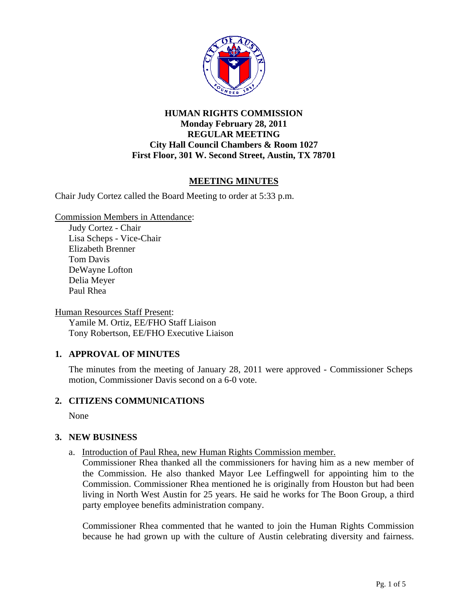

## **HUMAN RIGHTS COMMISSION Monday February 28, 2011 REGULAR MEETING City Hall Council Chambers & Room 1027 First Floor, 301 W. Second Street, Austin, TX 78701**

# **MEETING MINUTES**

Chair Judy Cortez called the Board Meeting to order at 5:33 p.m.

Commission Members in Attendance:

Judy Cortez - Chair Lisa Scheps - Vice-Chair Elizabeth Brenner Tom Davis DeWayne Lofton Delia Meyer Paul Rhea

Human Resources Staff Present:

Yamile M. Ortiz, EE/FHO Staff Liaison Tony Robertson, EE/FHO Executive Liaison

## **1. APPROVAL OF MINUTES**

The minutes from the meeting of January 28, 2011 were approved - Commissioner Scheps motion, Commissioner Davis second on a 6-0 vote.

## **2. CITIZENS COMMUNICATIONS**

None

## **3. NEW BUSINESS**

a.Introduction of Paul Rhea, new Human Rights Commission member.

Commissioner Rhea thanked all the commissioners for having him as a new member of the Commission. He also thanked Mayor Lee Leffingwell for appointing him to the Commission. Commissioner Rhea mentioned he is originally from Houston but had been living in North West Austin for 25 years. He said he works for The Boon Group, a third party employee benefits administration company.

Commissioner Rhea commented that he wanted to join the Human Rights Commission because he had grown up with the culture of Austin celebrating diversity and fairness.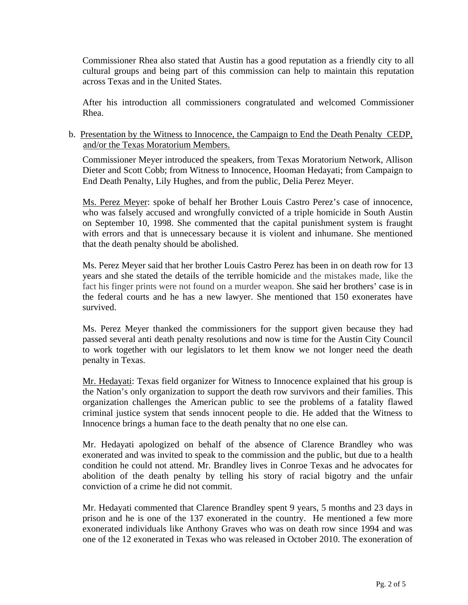Commissioner Rhea also stated that Austin has a good reputation as a friendly city to all cultural groups and being part of this commission can help to maintain this reputation across Texas and in the United States.

After his introduction all commissioners congratulated and welcomed Commissioner Rhea.

### b. Presentation by the Witness to Innocence, the Campaign to End the Death Penalty CEDP, and/or the Texas Moratorium Members.

Commissioner Meyer introduced the speakers, from Texas Moratorium Network, Allison Dieter and Scott Cobb; from Witness to Innocence, Hooman Hedayati; from Campaign to End Death Penalty, Lily Hughes, and from the public, Delia Perez Meyer.

Ms. Perez Meyer: spoke of behalf her Brother Louis Castro Perez's case of innocence, who was falsely accused and wrongfully convicted of a triple homicide in South Austin on September 10, 1998. She commented that the capital punishment system is fraught with errors and that is unnecessary because it is violent and inhumane. She mentioned that the death penalty should be abolished.

Ms. Perez Meyer said that her brother Louis Castro Perez has been in on death row for 13 years and she stated the details of the terrible homicide and the mistakes made, like the fact his finger prints were not found on a murder weapon. She said her brothers' case is in the federal courts and he has a new lawyer. She mentioned that 150 exonerates have survived.

Ms. Perez Meyer thanked the commissioners for the support given because they had passed several anti death penalty resolutions and now is time for the Austin City Council to work together with our legislators to let them know we not longer need the death penalty in Texas.

Mr. Hedayati: Texas field organizer for Witness to Innocence explained that his group is the Nation's only organization to support the death row survivors and their families. This organization challenges the American public to see the problems of a fatality flawed criminal justice system that sends innocent people to die. He added that the Witness to Innocence brings a human face to the death penalty that no one else can.

Mr. Hedayati apologized on behalf of the absence of Clarence Brandley who was exonerated and was invited to speak to the commission and the public, but due to a health condition he could not attend. Mr. Brandley lives in Conroe Texas and he advocates for abolition of the death penalty by telling his story of racial bigotry and the unfair conviction of a crime he did not commit.

Mr. Hedayati commented that Clarence Brandley spent 9 years, 5 months and 23 days in prison and he is one of the 137 exonerated in the country. He mentioned a few more exonerated individuals like Anthony Graves who was on death row since 1994 and was one of the 12 exonerated in Texas who was released in October 2010. The exoneration of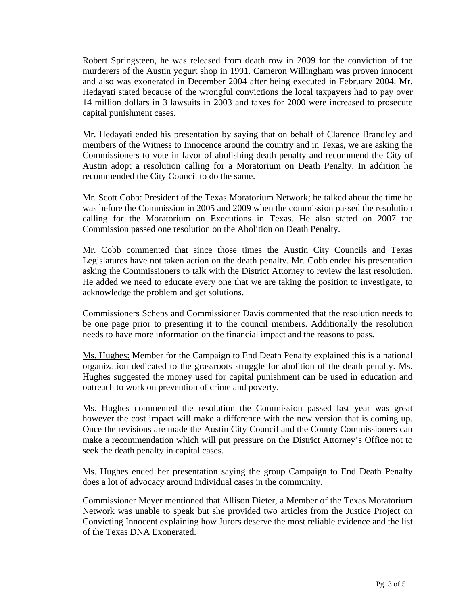Robert Springsteen, he was released from death row in 2009 for the conviction of the murderers of the Austin yogurt shop in 1991. Cameron Willingham was proven innocent and also was exonerated in December 2004 after being executed in February 2004. Mr. Hedayati stated because of the wrongful convictions the local taxpayers had to pay over 14 million dollars in 3 lawsuits in 2003 and taxes for 2000 were increased to prosecute capital punishment cases.

Mr. Hedayati ended his presentation by saying that on behalf of Clarence Brandley and members of the Witness to Innocence around the country and in Texas, we are asking the Commissioners to vote in favor of abolishing death penalty and recommend the City of Austin adopt a resolution calling for a Moratorium on Death Penalty. In addition he recommended the City Council to do the same.

Mr. Scott Cobb: President of the Texas Moratorium Network; he talked about the time he was before the Commission in 2005 and 2009 when the commission passed the resolution calling for the Moratorium on Executions in Texas. He also stated on 2007 the Commission passed one resolution on the Abolition on Death Penalty.

Mr. Cobb commented that since those times the Austin City Councils and Texas Legislatures have not taken action on the death penalty. Mr. Cobb ended his presentation asking the Commissioners to talk with the District Attorney to review the last resolution. He added we need to educate every one that we are taking the position to investigate, to acknowledge the problem and get solutions.

Commissioners Scheps and Commissioner Davis commented that the resolution needs to be one page prior to presenting it to the council members. Additionally the resolution needs to have more information on the financial impact and the reasons to pass.

Ms. Hughes: Member for the Campaign to End Death Penalty explained this is a national organization dedicated to the grassroots struggle for abolition of the death penalty. Ms. Hughes suggested the money used for capital punishment can be used in education and outreach to work on prevention of crime and poverty.

Ms. Hughes commented the resolution the Commission passed last year was great however the cost impact will make a difference with the new version that is coming up. Once the revisions are made the Austin City Council and the County Commissioners can make a recommendation which will put pressure on the District Attorney's Office not to seek the death penalty in capital cases.

Ms. Hughes ended her presentation saying the group Campaign to End Death Penalty does a lot of advocacy around individual cases in the community.

Commissioner Meyer mentioned that Allison Dieter, a Member of the Texas Moratorium Network was unable to speak but she provided two articles from the Justice Project on Convicting Innocent explaining how Jurors deserve the most reliable evidence and the list of the Texas DNA Exonerated.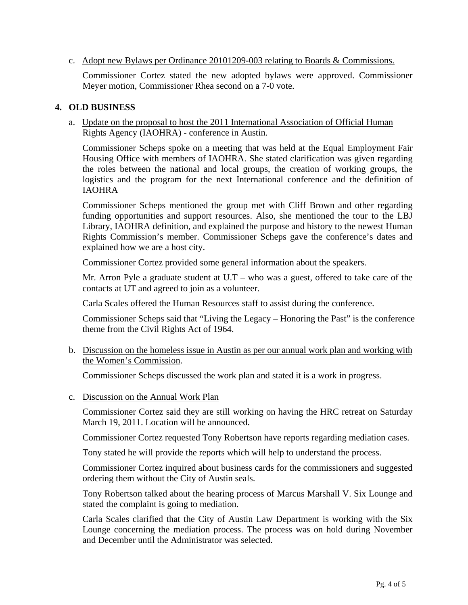### c. Adopt new Bylaws per Ordinance 20101209-003 relating to Boards & Commissions.

Commissioner Cortez stated the new adopted bylaws were approved. Commissioner Meyer motion, Commissioner Rhea second on a 7-0 vote.

#### **4. OLD BUSINESS**

 a. Update on the proposal to host the 2011 International Association of Official Human Rights Agency (IAOHRA) - conference in Austin.

 Commissioner Scheps spoke on a meeting that was held at the Equal Employment Fair Housing Office with members of IAOHRA. She stated clarification was given regarding the roles between the national and local groups, the creation of working groups, the logistics and the program for the next International conference and the definition of IAOHRA

 Commissioner Scheps mentioned the group met with Cliff Brown and other regarding funding opportunities and support resources. Also, she mentioned the tour to the LBJ Library, IAOHRA definition, and explained the purpose and history to the newest Human Rights Commission's member. Commissioner Scheps gave the conference's dates and explained how we are a host city.

Commissioner Cortez provided some general information about the speakers.

Mr. Arron Pyle a graduate student at  $U.T - who was a guest, offered to take care of the$ contacts at UT and agreed to join as a volunteer.

Carla Scales offered the Human Resources staff to assist during the conference.

Commissioner Scheps said that "Living the Legacy – Honoring the Past" is the conference theme from the Civil Rights Act of 1964.

b. Discussion on the homeless issue in Austin as per our annual work plan and working with the Women's Commission.

Commissioner Scheps discussed the work plan and stated it is a work in progress.

c. Discussion on the Annual Work Plan

Commissioner Cortez said they are still working on having the HRC retreat on Saturday March 19, 2011. Location will be announced.

Commissioner Cortez requested Tony Robertson have reports regarding mediation cases.

Tony stated he will provide the reports which will help to understand the process.

Commissioner Cortez inquired about business cards for the commissioners and suggested ordering them without the City of Austin seals.

Tony Robertson talked about the hearing process of Marcus Marshall V. Six Lounge and stated the complaint is going to mediation.

Carla Scales clarified that the City of Austin Law Department is working with the Six Lounge concerning the mediation process. The process was on hold during November and December until the Administrator was selected.